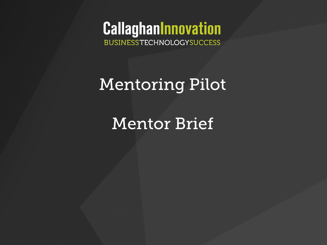**CallaghanInnovation BUSINESSTECHNOLOGYSUCCESS** 

# Mentoring Pilot

# Mentor Brief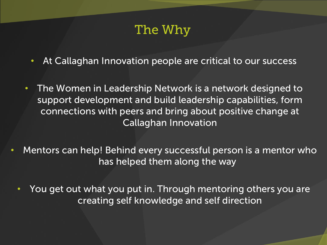## The Why

- At Callaghan Innovation people are critical to our success
- The Women in Leadership Network is a network designed to support development and build leadership capabilities, form connections with peers and bring about positive change at Callaghan Innovation
- Mentors can help! Behind every successful person is a mentor who has helped them along the way
	- You get out what you put in. Through mentoring others you are creating self knowledge and self direction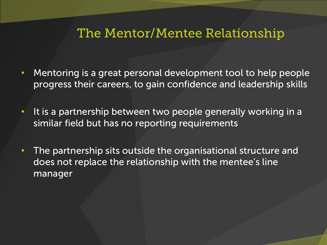### The Mentor/Mentee Relationship

- Mentoring is a great personal development tool to help people progress their careers, to gain confidence and leadership skills
- It is a partnership between two people generally working in a similar field but has no reporting requirements
- The partnership sits outside the organisational structure and does not replace the relationship with the mentee's line manager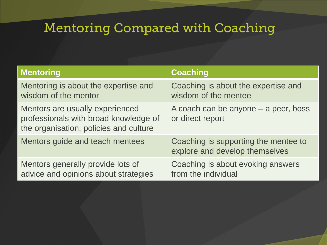# Mentoring Compared with Coaching

| <b>Mentoring</b>                                                                                                   | <b>Coaching</b>                                                        |
|--------------------------------------------------------------------------------------------------------------------|------------------------------------------------------------------------|
| Mentoring is about the expertise and<br>wisdom of the mentor                                                       | Coaching is about the expertise and<br>wisdom of the mentee            |
| Mentors are usually experienced<br>professionals with broad knowledge of<br>the organisation, policies and culture | A coach can be anyone $-$ a peer, boss<br>or direct report             |
| Mentors guide and teach mentees                                                                                    | Coaching is supporting the mentee to<br>explore and develop themselves |
| Mentors generally provide lots of<br>advice and opinions about strategies                                          | Coaching is about evoking answers<br>from the individual               |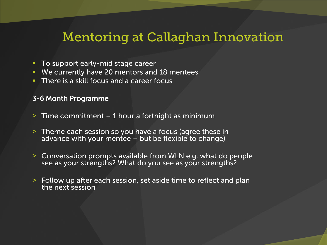### Mentoring at Callaghan Innovation

- To support early-mid stage career
- We currently have 20 mentors and 18 mentees
- **There is a skill focus and a career focus**

#### 3-6 Month Programme

- $>$  Time commitment 1 hour a fortnight as minimum
- ˃ Theme each session so you have a focus (agree these in advance with your mentee  $-$  but be flexible to change)
- ˃ Conversation prompts available from WLN e.g. what do people see as your strengths? What do you see as your strengths?
- ˃ Follow up after each session, set aside time to reflect and plan the next session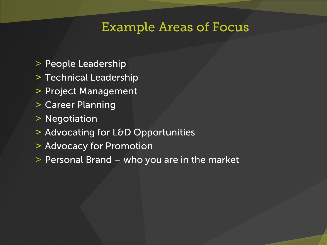### Example Areas of Focus

- ˃ People Leadership
- ˃ Technical Leadership
- ˃ Project Management
- ˃ Career Planning
- ˃ Negotiation
- > Advocating for L&D Opportunities
- ˃ Advocacy for Promotion
- ˃ Personal Brand who you are in the market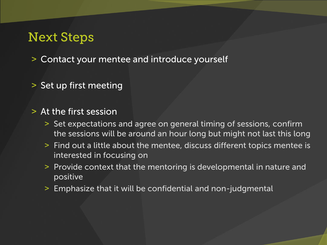## Next Steps

˃ Contact your mentee and introduce yourself

˃ Set up first meeting

#### ˃ At the first session

- ˃ Set expectations and agree on general timing of sessions, confirm the sessions will be around an hour long but might not last this long
- ˃ Find out a little about the mentee, discuss different topics mentee is interested in focusing on
- ˃ Provide context that the mentoring is developmental in nature and positive
- ˃ Emphasize that it will be confidential and non-judgmental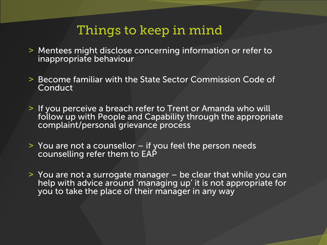## Things to keep in mind

- ˃ Mentees might disclose concerning information or refer to inappropriate behaviour
- ˃ Become familiar with the State Sector Commission Code of **Conduct**
- ˃ If you perceive a breach refer to Trent or Amanda who will follow up with People and Capability through the appropriate complaint/personal grievance process
- $>$  You are not a counsellor  $-$  if you feel the person needs counselling refer them to EAP
- $\geq$  You are not a surrogate manager  $-$  be clear that while you can help with advice around 'managing up' it is not appropriate for you to take the place of their manager in any way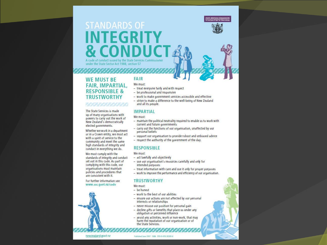

### **STANDARDS OF INTEGRITY & CONDUC** A code of conduct issued by the State Services Commissioner

under the State Sector Act 1988, section 57

#### **WE MUST BE FAIR, IMPARTIAL, RESPONSIBLE & TRUSTWORTHY**

#### だそまずそはだだい

The State Services is made up of many organisations with powers to carry out the work of New Zealand's democratically elected governments.

Whether we work in a department or in a Crown entity, we must act with a spirit of service to the community and meet the same high standards of integrity and conduct in everything we do.

We must comply with the standards of integrity and conduct set out in this code. As part of complying with this code, our organisations must maintain policies and procedures that are consistent with it.

For further information see www.ssc.govt.nz/code

newzealand.govt.nz

#### **FAIR** We must:

- treat everyone fairly and with respect
- be professional and responsive
- work to make government services accessible and effective
- strive to make a difference to the well-being of New Zealand and all its people.

#### **IMPARTIAL**

We must:

- maintain the political neutrality required to enable us to work with current and future governments
- carry out the functions of our organisation, unaffected by our personal beliefs
- support our organisation to provide robust and unbiased advice
- respect the authority of the government of the day.

#### **RESPONSIBLE**

We must:

- act lawfully and objectively
- use our organisation's resources carefully and only for intended purposes
- treat information with care and use it only for proper purposes
- work to improve the performance and efficiency of our organisation.

#### **TRUSTWORTHY**

We must:

- be honest
- work to the best of our abilities
- ensure our actions are not affected by our personal interests or relationships
- never misuse our position for personal gain
- decline gifts or benefits that place us under any obligation or perceived influence
- avoid any activities, work or non-work, that may harm the reputation of our organisation or of the State Services.

Published June 2007 ISBN: 978-0-478-30309-4